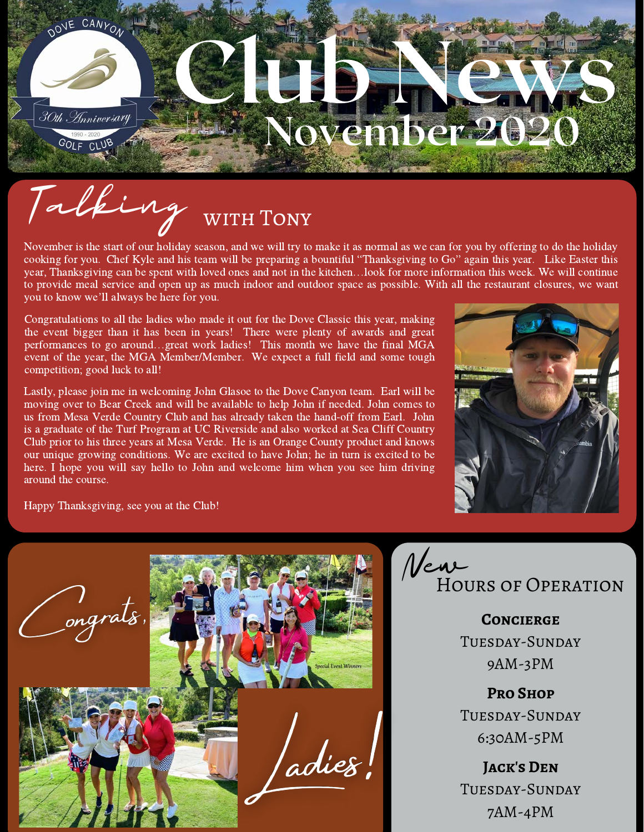

# Talking with Tony

November is the start of our holiday season, and we will try to make it as normal as we can for you by offering to do the holiday cooking for you. Chef Kyle and his team will be preparing a bountiful "Thanksgiving to Go" again this year. Like Easter this year, Thanksgiving can be spent with loved ones and not in the kitchen…look for more information this week. We will continue to provide meal service and open up as much indoor and outdoor space as possible. With all the restaurant closures, we want year, Thanksgiving can be spent with love<br>to provide meal service and open up as n<br>you to know we'll always be here for you.

Congratulations to all the ladies who made it out for the Dove Classic this year, making the event bigger than it has been in years! There were plenty of awards and great performances to go around…great work ladies! This month we have the final MGA event of the year, the MGA Member/Member. We expect a full field and some tough competition; good luck to all!

Lastly, please join me in welcoming John Glasoe to the Dove Canyon team. Earl will be moving over to Bear Creek and will be available to help John if needed. John comes to us from Mesa Verde Country Club and has already taken the hand-off from Earl. John is a graduate of the Turf Program at UC Riverside and also worked at Sea Cliff Country Club prior to his three years at Mesa Verde. He is an Orange County product and knows our unique growing conditions. We are excited to have John; he in turn is excited to be here. I hope you will say hello to John and welcome him when you see him driving around the course.



Happy Thanksgiving, see you at the Club!





**Concierge** Tuesday-Sunday 9AM-3PM

**Pro Shop** Tuesday-Sunday 6:30AM-5PM

**Jack's Den** Tuesday-Sunday 7AM-4PM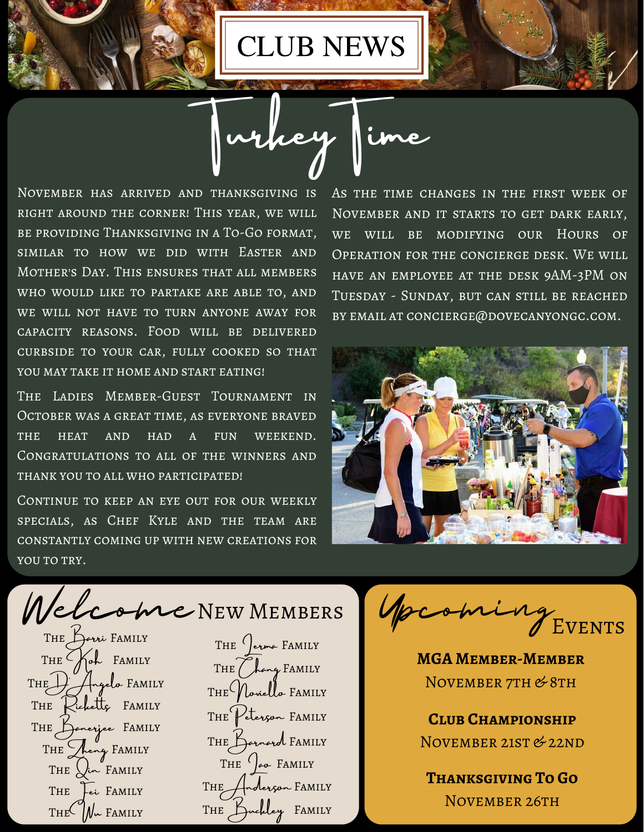CLUB NEWS

whey

November has arrived and thanksgiving is right around the corner! This year, we will be providing Thanksgiving in a To-Go format, similar to how we did with Easter and Mother's Day. This ensures that all members who would like to partake are able to, and we will not have to turn anyone away for capacity reasons. Food will be delivered curbside to your car, fully cooked so that YOU MAY TAKE IT HOME AND START EATING!

The Ladies Member-Guest Tournament in October was a great time, as everyone braved the heat and had a fun weekend. Congratulations to all of the winners and thank you to all who participated!

CONTINUE TO KEEP AN EYE OUT FOR OUR WEEKLY specials, as Chef Kyle and the team are constantly coming up with new creations for YOU TO TRY.

As the time changes in the first week of November and it starts to get dark early, we will be modifying our Hours of Operation for the concierge desk. We will have an employee at the desk 9AM-3PM on Tuesday - Sunday, but can still be reached by email at concierge@dovecanyongc.com.



elcome NEW MEMBERS THE  $\left( \right)$  erma FAMILY THE (hang FAMILY  $THE$ Voviello FAMILY THE Keterson FAMILY THE Barnard FAMILY THE  $\left( \right)$   $\left( \right)$  FAMILY THE Hnderson FAMILY  $THE$  $N_{\rm w}$  FAMILY THE Luckley FAMILY THE Lei FAMILY THE  $\bigcup_{\mathcal{L}} F$  FAMILY THE heng FAMILY THE Dancyjee FAMILY THE Kichetts FAMILY  $THE$   $H_{ngelo}$  FAMILY THE  $K_{\text{obs}}$  FAMILY

Upcoming Events

**MGA Member-Member** NOVEMBER 7TH & 8TH

**Club Championship** NOVEMBER 21ST & 22ND

**Thanksgiving To Go** NOVEMBER 26TH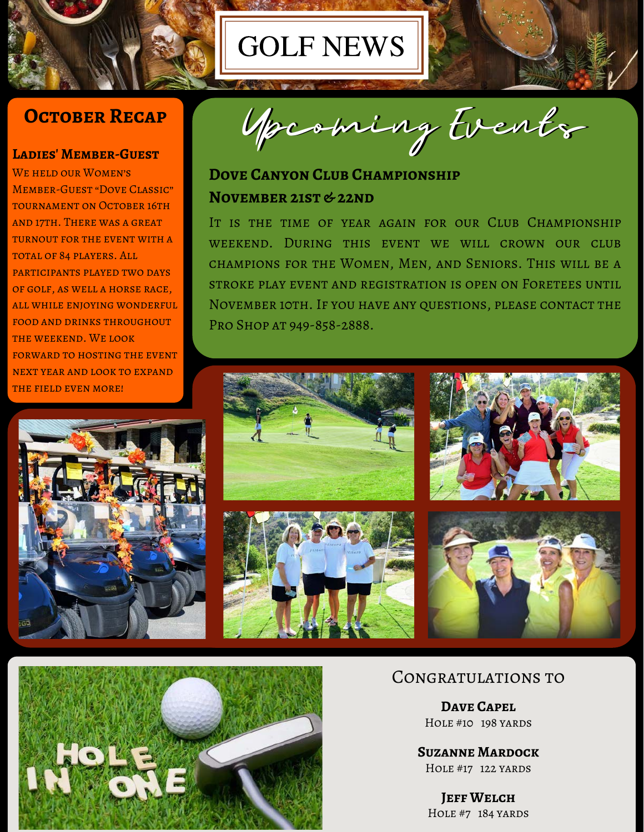

### **OCTOBER RECAP**

#### **Ladies' Member-Guest**

We held our Women's Member-Guest "Dove Classic" TOURNAMENT ON OCTOBER 16TH and 17th. There was a great turnout for the event with a total of 84 players. All participants played two days of golf, as well a horse race, all while enjoying wonderful food and drinks throughout the weekend. We look FORWARD TO HOSTING THE EVENT next year and look to expand the field even more!





### **DOVE CANYON CLUB CHAMPIONSHIP NOVEMBER 21ST & 22ND**

GOLF NEWS

IT IS THE TIME OF YEAR AGAIN FOR OUR CLUB CHAMPIONSHIP weekend. During this event we will crown our club champions for the Women, Men, and Seniors. This will be a stroke play event and registration is open on Foretees until November 10th. If you have any questions, please contact the Pro Shop at 949-858-2888.





#### Congratulations to

**Dave Capel** HOLE #10 198 YARDS

**Suzanne Mardock** Hole #17 122 yards

**Jeff Welch** HOLE #7 184 YARDS